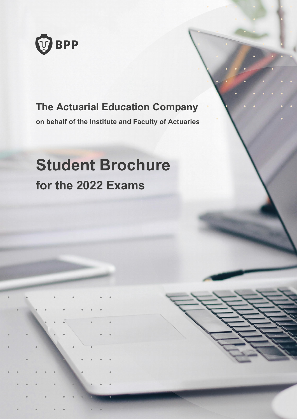

### **The Actuarial Education Company**

**on behalf of the Institute and Faculty of Actuaries**

# **Student Brochure for the 2022 Exams**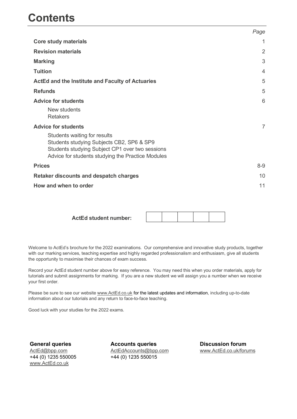|                                                                                                                                                                                   | Page           |
|-----------------------------------------------------------------------------------------------------------------------------------------------------------------------------------|----------------|
| <b>Core study materials</b>                                                                                                                                                       | 1              |
| <b>Revision materials</b>                                                                                                                                                         | $\overline{2}$ |
| <b>Marking</b>                                                                                                                                                                    | 3              |
| <b>Tuition</b>                                                                                                                                                                    | $\overline{4}$ |
| ActEd and the Institute and Faculty of Actuaries                                                                                                                                  | 5              |
| <b>Refunds</b>                                                                                                                                                                    | 5              |
| <b>Advice for students</b>                                                                                                                                                        | 6              |
| New students<br><b>Retakers</b>                                                                                                                                                   |                |
| <b>Advice for students</b>                                                                                                                                                        | 7              |
| Students waiting for results<br>Students studying Subjects CB2, SP6 & SP9<br>Students studying Subject CP1 over two sessions<br>Advice for students studying the Practice Modules |                |
| <b>Prices</b>                                                                                                                                                                     | $8-9$          |
| <b>Retaker discounts and despatch charges</b>                                                                                                                                     | 10             |
| How and when to order                                                                                                                                                             | 11             |

**ActEd student number:**

Welcome to ActEd's brochure for the 2022 examinations. Our comprehensive and innovative study products, together with our marking services, teaching expertise and highly regarded professionalism and enthusiasm, give all students the opportunity to maximise their chances of exam success.

Record your ActEd student number above for easy reference. You may need this when you order materials, apply for tutorials and submit assignments for marking. If you are a new student we will assign you a number when we receive your first order.

Please be sure to see our website www.ActEd.co.uk for the latest updates and information, including up-to-date information about our tutorials and any return to face-to-face teaching.

Good luck with your studies for the 2022 exams.

**General queries** ActEd@bpp.com +44 (0) 1235 550005 www.ActEd.co.uk

**Accounts queries** ActEdAccounts@bpp.com +44 (0) 1235 550015

**Discussion forum** www.ActEd.co.uk/forums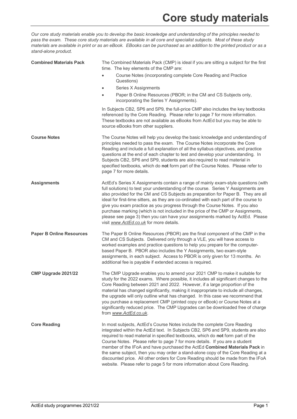*Our core study materials enable you to develop the basic knowledge and understanding of the principles needed to pass the exam. These core study materials are available in all core and specialist subjects. Most of these study materials are available in print or as an eBook. EBooks can be purchased as an addition to the printed product or as a stand-alone product.*

| <b>Combined Materials Pack</b>  | The Combined Materials Pack (CMP) is ideal if you are sitting a subject for the first<br>time. The key elements of the CMP are:<br>Course Notes (incorporating complete Core Reading and Practice                                                                                                                                                                                                                                                                                                                                                                                                                                                                 |
|---------------------------------|-------------------------------------------------------------------------------------------------------------------------------------------------------------------------------------------------------------------------------------------------------------------------------------------------------------------------------------------------------------------------------------------------------------------------------------------------------------------------------------------------------------------------------------------------------------------------------------------------------------------------------------------------------------------|
|                                 | Questions)                                                                                                                                                                                                                                                                                                                                                                                                                                                                                                                                                                                                                                                        |
|                                 | <b>Series X Assignments</b><br>$\bullet$                                                                                                                                                                                                                                                                                                                                                                                                                                                                                                                                                                                                                          |
|                                 | Paper B Online Resources (PBOR; in the CM and CS Subjects only,<br>incorporating the Series Y Assignments).                                                                                                                                                                                                                                                                                                                                                                                                                                                                                                                                                       |
|                                 | In Subjects CB2, SP6 and SP9, the full-price CMP also includes the key textbooks<br>referenced by the Core Reading. Please refer to page 7 for more information.<br>These textbooks are not available as eBooks from ActEd but you may be able to<br>source eBooks from other suppliers.                                                                                                                                                                                                                                                                                                                                                                          |
| <b>Course Notes</b>             | The Course Notes will help you develop the basic knowledge and understanding of<br>principles needed to pass the exam. The Course Notes incorporate the Core<br>Reading and include a full explanation of all the syllabus objectives, and practice<br>questions at the end of each chapter to test and develop your understanding. In<br>Subjects CB2, SP6 and SP9, students are also required to read material in<br>specified textbooks, which do not form part of the Course Notes. Please refer to<br>page 7 for more details.                                                                                                                               |
| <b>Assignments</b>              | ActEd's Series X Assignments contain a range of mainly exam-style questions (with<br>full solutions) to test your understanding of the course. Series Y Assignments are<br>also provided for the CM and CS Subjects as preparation for Paper B. They are all<br>ideal for first-time sitters, as they are co-ordinated with each part of the course to<br>give you exam practice as you progress through the Course Notes. If you also<br>purchase marking (which is not included in the price of the CMP or Assignments,<br>please see page 3) then you can have your assignments marked by ActEd. Please<br>visit www.ActEd.co.uk for more details.             |
| <b>Paper B Online Resources</b> | The Paper B Online Resources (PBOR) are the final component of the CMP in the<br>CM and CS Subjects. Delivered only through a VLE, you will have access to<br>worked examples and practice questions to help you prepare for the computer-<br>based Paper B. PBOR also includes the Y Assignments, two exam-style<br>assignments, in each subject. Access to PBOR is only given for 13 months. An<br>additional fee is payable if extended access is required.                                                                                                                                                                                                    |
| CMP Upgrade 2021/22             | The CMP Upgrade enables you to amend your 2021 CMP to make it suitable for<br>study for the 2022 exams. Where possible, it includes all significant changes to the<br>Core Reading between 2021 and 2022. However, if a large proportion of the<br>material has changed significantly, making it inappropriate to include all changes,<br>the upgrade will only outline what has changed. In this case we recommend that<br>you purchase a replacement CMP (printed copy or eBook) or Course Notes at a<br>significantly reduced price. The CMP Upgrades can be downloaded free of charge<br>from www.ActEd.co.uk.                                                |
| <b>Core Reading</b>             | In most subjects, ActEd's Course Notes include the complete Core Reading<br>integrated within the ActEd text. In Subjects CB2, SP6 and SP9, students are also<br>required to read material in specified textbooks, which do not form part of the<br>Course Notes. Please refer to page 7 for more details. If you are a student<br>member of the IFoA and have purchased the ActEd Combined Materials Pack in<br>the same subject, then you may order a stand-alone copy of the Core Reading at a<br>discounted price. All other orders for Core Reading should be made from the IFoA<br>website. Please refer to page 5 for more information about Core Reading. |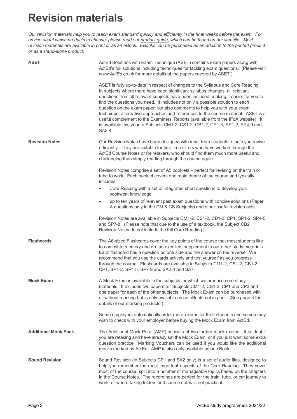# **Revision materials**

*Our revision materials help you to reach exam standard quickly and efficiently in the final weeks before the exam. For advice about which products to choose, please read our product guide, which can be found on our website. Most revision materials are available in print or as an eBook. EBooks can be purchased as an addition to the printed product or as a stand-alone product.*

| <b>ASET</b>                 | ActEd Solutions with Exam Technique (ASET) contains exam papers along with<br>ActEd's full solutions including techniques for tackling exam questions. (Please visit<br>www.ActEd.co.uk for more details of the papers covered by ASET.)                                                                                                                                                                                                                                                                                                                                                                                                                                                      |
|-----------------------------|-----------------------------------------------------------------------------------------------------------------------------------------------------------------------------------------------------------------------------------------------------------------------------------------------------------------------------------------------------------------------------------------------------------------------------------------------------------------------------------------------------------------------------------------------------------------------------------------------------------------------------------------------------------------------------------------------|
|                             | ASET is fully up-to-date in respect of changes to the Syllabus and Core Reading.<br>In subjects where there have been significant syllabus changes, all relevant<br>questions from all relevant subjects have been included, making it easier for you to<br>find the questions you need. It includes not only a possible solution to each<br>question on the exam paper, but also comments to help you with your exam<br>technique, alternative approaches and references to the course material. ASET is a<br>useful complement to the Examiners' Reports (available from the IFoA website). It<br>is available this year in Subjects CM1-2, CS1-2, CB1-2, CP1-3, SP1-2, SP4-9 and<br>SA2-4. |
| <b>Revision Notes</b>       | Our Revision Notes have been designed with input from students to help you revise<br>efficiently. They are suitable for first-time sitters who have worked through the<br>ActEd Course Notes or for retakers, who should find them much more useful and<br>challenging than simply reading through the course again.                                                                                                                                                                                                                                                                                                                                                                          |
|                             | Revision Notes comprise a set of A5 booklets - perfect for revising on the train or<br>tube to work. Each booklet covers one main theme of the course and typically<br>includes:                                                                                                                                                                                                                                                                                                                                                                                                                                                                                                              |
|                             | Core Reading with a set of integrated short questions to develop your<br>bookwork knowledge                                                                                                                                                                                                                                                                                                                                                                                                                                                                                                                                                                                                   |
|                             | up to ten years of relevant past exam questions with concise solutions (Paper<br>$\bullet$<br>A questions only in the CM & CS Subjects) and other useful revision aids.                                                                                                                                                                                                                                                                                                                                                                                                                                                                                                                       |
|                             | Revision Notes are available in Subjects CM1-2, CS1-2, CB1-2, CP1, SP1-2, SP4-5<br>and SP7-8. (Please note that due to the use of a textbook, the Subject CB2<br>Revision Notes do not include the full Core Reading.)                                                                                                                                                                                                                                                                                                                                                                                                                                                                        |
| <b>Flashcards</b>           | The A6-sized Flashcards cover the key points of the course that most students like<br>to commit to memory and are an excellent supplement to our other study materials.<br>Each flashcard has a question on one side and the answer on the reverse. We<br>recommend that you use the cards actively and test yourself as you progress<br>through the course. Flashcards are available in Subjects CM1-2, CS1-2, CB1-2,<br>CP1, SP1-2, SP4-5, SP7-9 and SA2-4 and SA7.                                                                                                                                                                                                                         |
| <b>Mock Exam</b>            | A Mock Exam is available in the subjects for which we produce core study<br>materials. It includes two papers for Subjects CM1-2, CS1-2, CP1 and CP2 and<br>one paper for each of the other subjects. The Mock Exam can be purchased with<br>or without marking but is only available as an eBook, not in print. (See page 3 for<br>details of our marking products.)                                                                                                                                                                                                                                                                                                                         |
|                             | Some employers automatically order mock exams for their students and so you may<br>wish to check with your employer before buying the Mock Exam from ActEd.                                                                                                                                                                                                                                                                                                                                                                                                                                                                                                                                   |
| <b>Additional Mock Pack</b> | The Additional Mock Pack (AMP) consists of two further mock exams. It is ideal if<br>you are retaking and have already sat the Mock Exam, or if you just want some extra<br>question practice. Marking Vouchers can be used if you would like the additional<br>mocks marked by ActEd. AMP is also only available as an eBook.                                                                                                                                                                                                                                                                                                                                                                |
| <b>Sound Revision</b>       | Sound Revision (in Subjects CP1 and SA2 only) is a set of audio files, designed to<br>help you remember the most important aspects of the Core Reading. They cover<br>most of the course, split into a number of manageable topics based on the chapters<br>in the Course Notes. The recordings are perfect for the train, tube, or car journey to<br>work, or where taking folders and course notes is not practical.                                                                                                                                                                                                                                                                        |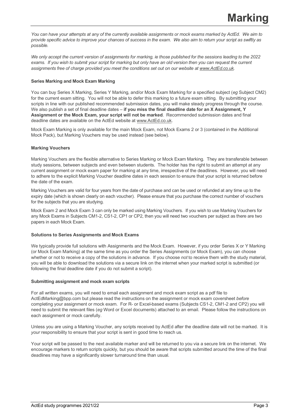*You can have your attempts at any of the currently available assignments or mock exams marked by ActEd. We aim to provide specific advice to improve your chances of success in the exam. We also aim to return your script as swiftly as possible.*

*We only accept the current version of assignments for marking, ie those published for the sessions leading to the 2022 exams. If you wish to submit your script for marking but only have an old version then you can request the current assignments free of charge provided you meet the conditions set out on our website at www.ActEd.co.uk.*

#### **Series Marking and Mock Exam Marking**

You can buy Series X Marking, Series Y Marking, and/or Mock Exam Marking for a specified subject (*eg* Subject CM2) for the current exam sitting. You will not be able to defer this marking to a future exam sitting. By submitting your scripts in line with our published recommended submission dates, you will make steady progress through the course. We also publish a set of final deadline dates – **if you miss the final deadline date for an X Assignment, Y Assignment or the Mock Exam, your script will not be marked**. Recommended submission dates and final deadline dates are available on the ActEd website at www.ActEd.co.uk.

Mock Exam Marking is only available for the main Mock Exam, not Mock Exams 2 or 3 (contained in the Additional Mock Pack), but Marking Vouchers may be used instead (see below).

#### **Marking Vouchers**

Marking Vouchers are the flexible alternative to Series Marking or Mock Exam Marking. They are transferable between study sessions, between subjects and even between students. The holder has the right to submit an attempt at any current assignment or mock exam paper for marking at any time, irrespective of the deadlines. However, you will need to adhere to the explicit Marking Voucher deadline dates in each session to ensure that your script is returned before the date of the exam.

Marking Vouchers are valid for four years from the date of purchase and can be used or refunded at any time up to the expiry date (which is shown clearly on each voucher). Please ensure that you purchase the correct number of vouchers for the subjects that you are studying.

Mock Exam 2 and Mock Exam 3 can only be marked using Marking Vouchers. If you wish to use Marking Vouchers for any Mock Exams in Subjects CM1-2, CS1-2, CP1 or CP2, then you will need two vouchers per subject as there are two papers in each Mock Exam.

#### **Solutions to Series Assignments and Mock Exams**

We typically provide full solutions with Assignments and the Mock Exam. However, if you order Series X or Y Marking (or Mock Exam Marking) at the same time as you order the Series Assignments (or Mock Exam), you can choose whether or not to receive a copy of the solutions in advance. If you choose *not* to receive them with the study material, you will be able to download the solutions via a secure link on the internet when your marked script is submitted (or following the final deadline date if you do not submit a script).

#### **Submitting assignment and mock exam scripts**

For all written exams, you will need to email each assignment and mock exam script as a pdf file to ActEdMarking@bpp.com but please read the instructions on the assignment or mock exam coversheet *before* completing your assignment or mock exam. For R- or Excel-based exams (Subjects CS1-2, CM1-2 and CP2) you will need to submit the relevant files (*eg* Word or Excel documents) attached to an email. Please follow the instructions on each assignment or mock carefully.

Unless you are using a Marking Voucher, any scripts received by ActEd after the deadline date will not be marked. It is *your* responsibility to ensure that your script is sent in good time to reach us.

Your script will be passed to the next available marker and will be returned to you via a secure link on the internet. We encourage markers to return scripts quickly, but you should be aware that scripts submitted around the time of the final deadlines may have a significantly slower turnaround time than usual.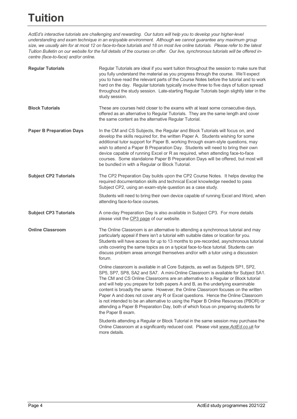*ActEd's interactive tutorials are challenging and rewarding. Our tutors will help you to develop your higher-level understanding and exam technique in an enjoyable environment. Although we cannot guarantee any maximum group size, we usually aim for at most 12 on face-to-face tutorials and 18 on most live online tutorials. Please refer to the latest Tuition Bulletin on our website for the full details of the courses on offer. Our live, synchronous tutorials will be offered incentre (face-to-face) and/or online.*

| <b>Regular Tutorials</b>        | Regular Tutorials are ideal if you want tuition throughout the session to make sure that<br>you fully understand the material as you progress through the course. We'll expect<br>you to have read the relevant parts of the Course Notes before the tutorial and to work<br>hard on the day. Regular tutorials typically involve three to five days of tuition spread<br>throughout the study session. Late-starting Regular Tutorials begin slightly later in the<br>study session.                                                                                                                                                                                                                                     |
|---------------------------------|---------------------------------------------------------------------------------------------------------------------------------------------------------------------------------------------------------------------------------------------------------------------------------------------------------------------------------------------------------------------------------------------------------------------------------------------------------------------------------------------------------------------------------------------------------------------------------------------------------------------------------------------------------------------------------------------------------------------------|
| <b>Block Tutorials</b>          | These are courses held closer to the exams with at least some consecutive days,<br>offered as an alternative to Regular Tutorials. They are the same length and cover<br>the same content as the alternative Regular Tutorial.                                                                                                                                                                                                                                                                                                                                                                                                                                                                                            |
| <b>Paper B Preparation Days</b> | In the CM and CS Subjects, the Regular and Block Tutorials will focus on, and<br>develop the skills required for, the written Paper A. Students wishing for some<br>additional tutor support for Paper B, working through exam-style questions, may<br>wish to attend a Paper B Preparation Day. Students will need to bring their own<br>device capable of running Excel or R as required, when attending face-to-face<br>courses. Some standalone Paper B Preparation Days will be offered, but most will<br>be bundled in with a Regular or Block Tutorial.                                                                                                                                                            |
| <b>Subject CP2 Tutorials</b>    | The CP2 Preparation Day builds upon the CP2 Course Notes. It helps develop the<br>required documentation skills and technical Excel knowledge needed to pass<br>Subject CP2, using an exam-style question as a case study.                                                                                                                                                                                                                                                                                                                                                                                                                                                                                                |
|                                 | Students will need to bring their own device capable of running Excel and Word, when<br>attending face-to-face courses.                                                                                                                                                                                                                                                                                                                                                                                                                                                                                                                                                                                                   |
| <b>Subject CP3 Tutorials</b>    | A one-day Preparation Day is also available in Subject CP3. For more details<br>please visit the CP3 page of our website.                                                                                                                                                                                                                                                                                                                                                                                                                                                                                                                                                                                                 |
| <b>Online Classroom</b>         | The Online Classroom is an alternative to attending a synchronous tutorial and may<br>particularly appeal if there isn't a tutorial with suitable dates or location for you.<br>Students will have access for up to 13 months to pre-recorded, asynchronous tutorial<br>units covering the same topics as on a typical face-to-face tutorial. Students can<br>discuss problem areas amongst themselves and/or with a tutor using a discussion<br>forum.                                                                                                                                                                                                                                                                   |
|                                 | Online classroom is available in all Core Subjects, as well as Subjects SP1, SP2,<br>SP5, SP7, SP8, SA2 and SA7. A mini-Online Classroom is available for Subject SA1.<br>The CM and CS Online Classrooms are an alternative to a Regular or Block tutorial<br>and will help you prepare for both papers A and B, as the underlying examinable<br>content is broadly the same. However, the Online Classroom focuses on the written<br>Paper A and does not cover any R or Excel questions. Hence the Online Classroom<br>is not intended to be an alternative to using the Paper B Online Resources (PBOR) or<br>attending a Paper B Preparation Day, both of which focus on preparing students for<br>the Paper B exam. |
|                                 | Students attending a Regular or Block Tutorial in the same session may purchase the<br>Online Classroom at a significantly reduced cost. Please visit www. ActEd.co.uk for<br>more details.                                                                                                                                                                                                                                                                                                                                                                                                                                                                                                                               |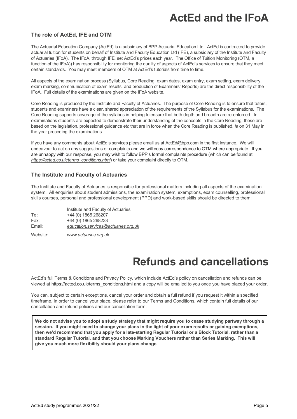#### **The role of ActEd, IFE and OTM**

The Actuarial Education Company (ActEd) is a subsidiary of BPP Actuarial Education Ltd. ActEd is contracted to provide actuarial tuition for students on behalf of Institute and Faculty Education Ltd (IFE), a subsidiary of the Institute and Faculty of Actuaries (IFoA). The IFoA, through IFE, set ActEd's prices each year. The Office of Tuition Monitoring (OTM, a function of the IFoA)) has responsibility for monitoring the quality of aspects of ActEd's services to ensure that they meet certain standards. You may meet members of OTM at ActEd's tutorials from time to time.

All aspects of the examination process (Syllabus, Core Reading, exam dates, exam entry, exam setting, exam delivery, exam marking, communication of exam results, and production of Examiners' Reports) are the direct responsibility of the IFoA. Full details of the examinations are given on the IFoA website.

Core Reading is produced by the Institute and Faculty of Actuaries. The purpose of Core Reading is to ensure that tutors, students and examiners have a clear, shared appreciation of the requirements of the Syllabus for the examinations. The Core Reading supports coverage of the syllabus in helping to ensure that both depth and breadth are re-enforced. In examinations students are expected to demonstrate their understanding of the concepts in the Core Reading; these are based on the legislation, professional guidance *etc* that are in force when the Core Reading is published, *ie* on 31 May in the year preceding the examinations.

If you have any comments about ActEd's services please email us at ActEd@bpp.com in the first instance. We will endeavour to act on any suggestions or complaints and we will copy correspondence to OTM where appropriate. If you are unhappy with our response, you may wish to follow BPP's formal complaints procedure (which can be found at *https://acted.co.uk/terms\_conditions.html*) or take your complaint directly to OTM.

#### **The Institute and Faculty of Actuaries**

The Institute and Faculty of Actuaries is responsible for professional matters including all aspects of the examination system. All enquiries about student admissions, the examination system, exemptions, exam counselling, professional skills courses, personal and professional development (PPD) and work-based skills should be directed to them:

|        | Institute and Faculty of Actuaries  |
|--------|-------------------------------------|
| Tel:   | +44 (0) 1865 268207                 |
| Fax:   | +44 (0) 1865 268233                 |
| Email: | education.services@actuaries.org.uk |
|        |                                     |

Website: *www.actuaries.org.uk*

### **Refunds and cancellations**

ActEd's full Terms & Conditions and Privacy Policy, which include ActEd's policy on cancellation and refunds can be viewed at https://acted.co.uk/terms\_conditions.html and a copy will be emailed to you once you have placed your order.

You can, subject to certain exceptions, cancel your order and obtain a full refund if you request it within a specified timeframe. In order to cancel your place, please refer to our Terms and Conditions, which contain full details of our cancellation and refund policies and our cancellation form.

**We do not advise you to adopt a study strategy that might require you to cease studying partway through a session. If you might need to change your plans in the light of your exam results or gaining exemptions, then we'd recommend that you apply for a late-starting Regular Tutorial or a Block Tutorial, rather than a standard Regular Tutorial, and that you choose Marking Vouchers rather than Series Marking. This will give you much more flexibility should your plans change.**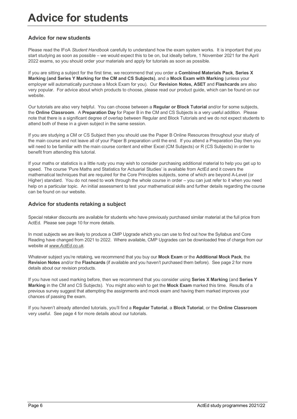## **Advice for students**

#### **Advice for new students**

Please read the IFoA *Student Handbook* carefully to understand how the exam system works. It is important that you start studying as soon as possible – we would expect this to be on, but ideally before, 1 November 2021 for the April 2022 exams, so you should order your materials and apply for tutorials as soon as possible.

If you are sitting a subject for the first time, we recommend that you order a **Combined Materials Pack**, **Series X Marking (and Series Y Marking for the CM and CS Subjects)**, and a **Mock Exam with Marking** (unless your employer will automatically purchase a Mock Exam for you). Our **Revision Notes, ASET** and **Flashcards** are also very popular. For advice about which products to choose, please read our product guide, which can be found on our website.

Our tutorials are also very helpful. You can choose between a **Regular or Block Tutorial** and/or for some subjects, the **Online Classroom**. A **Preparation Day** for Paper B in the CM and CS Subjects is a very useful addition. Please note that there is a significant degree of overlap between Regular and Block Tutorials and we do not expect students to attend both of these in a given subject in the same session.

If you are studying a CM or CS Subject then you should use the Paper B Online Resources throughout your study of the main course and not leave all of your Paper B preparation until the end. If you attend a Preparation Day then you will need to be familiar with the main course content and either Excel (CM Subjects) or R (CS Subjects) in order to benefit from attending this tutorial.

If your maths or statistics is a little rusty you may wish to consider purchasing additional material to help you get up to speed. The course 'Pure Maths and Statistics for Actuarial Studies' is available from ActEd and it covers the mathematical techniques that are required for the Core Principles subjects, some of which are beyond A-Level (or Higher) standard. You do not need to work through the whole course in order – you can just refer to it when you need help on a particular topic. An initial assessment to test your mathematical skills and further details regarding the course can be found on our website.

#### **Advice for students retaking a subject**

Special retaker discounts are available for students who have previously purchased similar material at the full price from ActEd. Please see page 10 for more details.

In most subjects we are likely to produce a CMP Upgrade which you can use to find out how the Syllabus and Core Reading have changed from 2021 to 2022. Where available, CMP Upgrades can be downloaded free of charge from our website at *www.ActEd.co.uk.*

Whatever subject you're retaking, we recommend that you buy our **Mock Exam** or the **Additional Mock Pack**, the **Revision Notes** and/or the **Flashcards** (if available and you haven't purchased them before). See page 2 for more details about our revision products.

If you have not used marking before, then we recommend that you consider using **Series X Marking** (and **Series Y Marking** in the CM and CS Subjects). You might also wish to get the **Mock Exam** marked this time. Results of a previous survey suggest that attempting the assignments and mock exam and having them marked improves your chances of passing the exam.

If you haven't already attended tutorials, you'll find a **Regular Tutorial**, a **Block Tutorial**, or the **Online Classroom** very useful. See page 4 for more details about our tutorials.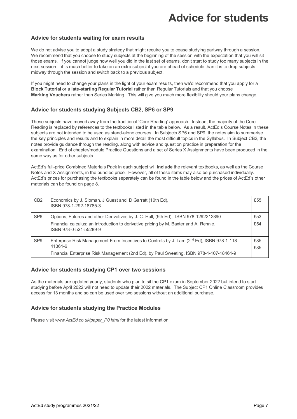#### **Advice for students waiting for exam results**

We do not advise you to adopt a study strategy that might require you to cease studying partway through a session. We recommend that you choose to study subjects at the beginning of the session with the expectation that you will sit those exams. If you cannot judge how well you did in the last set of exams, don't start to study too many subjects in the next session – it is much better to take on an extra subject if you are ahead of schedule than it is to drop subjects midway through the session and switch back to a previous subject.

If you might need to change your plans in the light of your exam results, then we'd recommend that you apply for a **Block Tutorial** or a **late-starting Regular Tutorial** rather than Regular Tutorials and that you choose **Marking Vouchers** rather than Series Marking. This will give you much more flexibility should your plans change.

#### **Advice for students studying Subjects CB2, SP6 or SP9**

These subjects have moved away from the traditional 'Core Reading' approach. Instead, the majority of the Core Reading is replaced by references to the textbooks listed in the table below. As a result, ActEd's Course Notes in these subjects are not intended to be used as stand-alone courses. In Subjects SP6 and SP9, the notes aim to summarise the key principles and results and to explain in more detail the most difficult topics in the Syllabus. In Subject CB2, the notes provide guidance through the reading, along with advice and question practice in preparation for the examination. End of chapter/module Practice Questions and a set of Series X Assignments have been produced in the same way as for other subjects.

ActEd's full-price Combined Materials Pack in each subject will **include** the relevant textbooks, as well as the Course Notes and X Assignments, in the bundled price. However, all of these items may also be purchased individually. ActEd's prices for purchasing the textbooks separately can be found in the table below and the prices of ActEd's other materials can be found on page 8.

| C <sub>B2</sub> | Economics by J. Sloman, J Guest and D Garratt (10th Ed),<br>ISBN 978-1-292-18785-3                              | £55 |
|-----------------|-----------------------------------------------------------------------------------------------------------------|-----|
| SP <sub>6</sub> | Options, Futures and other Derivatives by J. C. Hull, (9th Ed), ISBN 978-1292212890                             | £53 |
|                 | Financial calculus: an introduction to derivative pricing by M. Baxter and A. Rennie,<br>ISBN 978-0-521-55289-9 | £54 |
| SP <sub>9</sub> | Enterprise Risk Management From Incentives to Controls by J. Lam (2nd Ed), ISBN 978-1-118-                      | £85 |
|                 | 41361-6                                                                                                         | £85 |
|                 | Financial Enterprise Risk Management (2nd Ed), by Paul Sweeting, ISBN 978-1-107-18461-9                         |     |

#### **Advice for students studying CP1 over two sessions**

As the materials are updated yearly, students who plan to sit the CP1 exam in September 2022 but intend to start studying before April 2022 will not need to update their 2022 materials. The Subject CP1 Online Classroom provides access for 13 months and so can be used over two sessions without an additional purchase.

#### **Advice for students studying the Practice Modules**

Please visit *www.ActEd.co.uk/paper\_P0.html* for the latest information.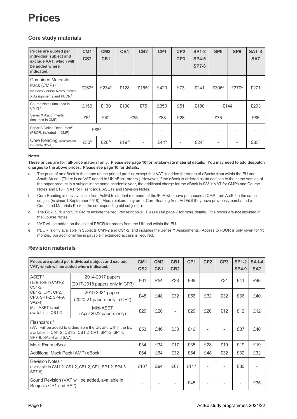#### **Core study materials**

| Prices are quoted per<br>individual subject and<br>exclude VAT, which will<br>be added where<br>indicated.                   | CM <sub>1</sub><br>CS <sub>2</sub> | CM <sub>2</sub><br>CS <sub>1</sub> | CB <sub>1</sub> | CB <sub>2</sub>    | CP <sub>1</sub>  | CP <sub>2</sub><br>CP <sub>3</sub> | <b>SP1-2</b><br><b>SP4-5</b><br><b>SP7-8</b> | SP <sub>6</sub>   | SP <sub>9</sub>   | $SA1-4$<br>SA7 |
|------------------------------------------------------------------------------------------------------------------------------|------------------------------------|------------------------------------|-----------------|--------------------|------------------|------------------------------------|----------------------------------------------|-------------------|-------------------|----------------|
| <b>Combined Materials</b><br>Pack (CMP) <sup>a</sup><br>includes Course Notes, Series<br>X Assignments and PBOR <sup>e</sup> | £262 <sup>d</sup>                  | £234 <sup>d</sup>                  | £128            | £155 $\textdegree$ | £420             | £73                                | £241                                         | £306 <sup>c</sup> | £370 <sup>c</sup> | £271           |
| Course Notes (included in<br>$CMP)$ <sup>a</sup>                                                                             | £150                               | £130                               | £100            | £75                | £350             | £51                                | £180                                         | £144              |                   | £203           |
| Series X Assignments<br>(included in CMP)                                                                                    | £51                                | £42                                |                 | £35                | £88              | £28                                | £75                                          |                   |                   | £85            |
| Paper B Online Resources <sup>e</sup><br>(PBOR, included in CMP)                                                             |                                    | £88 <sup>d</sup>                   |                 |                    |                  |                                    |                                              |                   |                   |                |
| Core Reading (incorporated<br>in Course Notes) <sup>b</sup>                                                                  | £30 <sup>b</sup>                   | £26 $b$                            | £19 $b$         |                    | £44 <sup>b</sup> |                                    | £24 <sup>b</sup>                             |                   |                   | £35 $b$        |

#### **Notes**

**These prices are for full-price material only. Please see page 10 for retaker-rate material details. You may need to add despatch charges to the above prices. Please see page 10 for details.**

- a. The price of an eBook is the same as the printed product except that VAT is added for orders of eBooks from within the EU and South Africa. (There is no VAT added to UK eBook orders.) However, if the eBook is ordered as an addition to the same version of the paper product in a subject in the same academic year, the additional charge for the eBook is £23 + VAT for CMPs and Course Notes and £13 + VAT for Flashcards, ASETs and Revision Notes.
- b. Core Reading is only available from ActEd to student members of the IFoA who have purchased a CMP from ActEd in the same subject (*ie* since 1 September 2018). Also, retakers may order Core Reading from ActEd if they have previously purchased a Combined Materials Pack in the corresponding old subject(s).
- c. The CB2, SP6 and SP9 CMPs include the required textbooks. Please see page 7 for more details. The books are **not** included in the Course Notes.
- d. VAT will be added on the cost of PBOR for orders from the UK and within the EU.
- e. PBOR is only available in Subjects CM1-2 and CS1-2, and includes the Series Y Assignments. Access to PBOR is only given for 13 months. An additional fee is payable if extended access is required.

#### **Revision materials**

| Prices are quoted per individual subject and exclude<br>VAT, which will be added where indicated.                                                                       |                                                    | CM <sub>1</sub><br>CS <sub>2</sub> | CM2<br>CS <sub>1</sub> | C <sub>B</sub> 1<br>CB2 | CP <sub>1</sub> | CP <sub>2</sub> | CP <sub>3</sub> | <b>SP1-2</b><br><b>SP4-9</b> | <b>SA1-4</b><br>SA <sub>7</sub> |
|-------------------------------------------------------------------------------------------------------------------------------------------------------------------------|----------------------------------------------------|------------------------------------|------------------------|-------------------------|-----------------|-----------------|-----------------|------------------------------|---------------------------------|
| ASET <sup>a</sup><br>(available in CM1-2,<br>CS1-2,                                                                                                                     | 2014-2017 papers<br>(2017-2018 papers only in CP3) | £61                                | £54                    | £38                     | £69             |                 | £31             | £41                          | £46                             |
| CB1-2, CP1, CP2,<br>CP3, SP1-2, SP4-9,<br>SA2-4)                                                                                                                        | 2019-2021 papers<br>(2020-21 papers only in CP2)   | £48                                | £48                    | £32                     | £56             | £32             | £32             | £36                          | £40                             |
| Mini-ASET is not<br>available in CB1-2.                                                                                                                                 | Mini-ASET<br>(April 2022 papers only)              | £20                                | £20                    |                         | £20             | £20             | £12             | £12                          | £12                             |
| Flashcards <sup>a</sup><br>(VAT will be added to orders from the UK and within the EU,<br>available in CM1-2, CS1-2, CB1-2, CP1, SP1-2, SP4-5,<br>SP7-9, SA2-4 and SA7) |                                                    | £53                                | £46                    | £33                     | £46             |                 |                 | £37                          | £40                             |
| Mock Exam eBook                                                                                                                                                         |                                                    | £34                                | £34                    | £17                     | £35             | £28             | £19             | £19                          | £19                             |
| Additional Mock Pack (AMP) eBook                                                                                                                                        |                                                    | £64                                | £64                    | £32                     | £64             | £48             | £32             | £32                          | £32                             |
| Revision Notes <sup>a</sup><br>(available in CM1-2, CS1-2, CB1-2, CP1, SP1-2, SP4-5,<br>SP7-8)                                                                          |                                                    | £107                               | £94                    | £67                     | £117            |                 |                 | £80                          |                                 |
| Subjects CP1 and SA2)                                                                                                                                                   | Sound Revision (VAT will be added, available in    |                                    |                        |                         | £45             |                 |                 |                              | £35                             |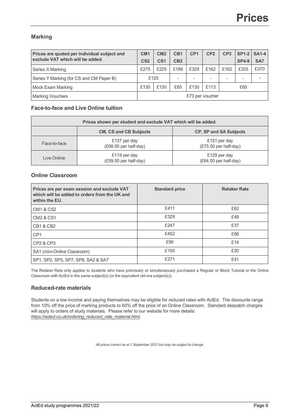#### **Marking**

| Prices are quoted per individual subject and<br>exclude VAT which will be added. |                 | CM <sub>2</sub> | C <sub>B</sub> 1         | CP <sub>1</sub>          | CP <sub>2</sub>          | CP <sub>3</sub> | <b>SP1-2   SA1-4</b> |      |
|----------------------------------------------------------------------------------|-----------------|-----------------|--------------------------|--------------------------|--------------------------|-----------------|----------------------|------|
|                                                                                  |                 | CS <sub>1</sub> | CB2                      |                          |                          |                 | <b>SP4-9</b>         | SA7  |
| Series X Marking                                                                 | £275            | £225            | £188                     | £328                     | £162                     | £162            | £335                 | £370 |
| Series Y Marking (for CS and CM Paper B)                                         |                 | £125            | $\overline{\phantom{a}}$ | $\overline{\phantom{a}}$ | $\overline{\phantom{a}}$ |                 |                      |      |
| <b>Mock Exam Marking</b>                                                         | £130            | £130            | £65                      | £130                     | £113                     |                 | £65                  |      |
| <b>Marking Vouchers</b>                                                          | £73 per voucher |                 |                          |                          |                          |                 |                      |      |

#### **Face-to-face and Live Online tuition**

| Prices shown per student and exclude VAT which will be added.  |                                       |                                         |  |  |  |  |
|----------------------------------------------------------------|---------------------------------------|-----------------------------------------|--|--|--|--|
| <b>CM, CS and CB Subjects</b><br><b>CP, SP and SA Subjects</b> |                                       |                                         |  |  |  |  |
| Face-to-face                                                   | £137 per day<br>(£68.50 per half-day) | £151 per day<br>$(E75.50$ per half-day) |  |  |  |  |
| Live Online                                                    | £119 per day<br>(£59.50 per half-day) | £129 per day<br>(£64.50 per half-day)   |  |  |  |  |

#### **Online Classroom**

| Prices are per exam session and exclude VAT<br>which will be added to orders from the UK and<br>within the EU. | <b>Standard price</b> | <b>Retaker Rate</b> |
|----------------------------------------------------------------------------------------------------------------|-----------------------|---------------------|
| <b>CM1 &amp; CS2</b>                                                                                           | £411                  | £62                 |
| <b>CM2 &amp; CS1</b>                                                                                           | £329                  | £49                 |
| CB1 & CB2                                                                                                      | £247                  | £37                 |
| CP <sub>1</sub>                                                                                                | £452                  | £68                 |
| CP2 & CP3                                                                                                      | £90                   | £14                 |
| SA1 (mini-Online Classroom)                                                                                    | £150                  | £20                 |
| SP1, SP2, SP5, SP7, SP8, SA2 & SA7                                                                             | £271                  | £41                 |

The Retaker Rate only applies to students who have previously or simultaneously purchased a Regular or Block Tutorial or the Online Classroom with ActEd in the same subject(s) (or the equivalent old era subject(s)).

#### **Reduced-rate materials**

Students on a low income and paying themselves may be eligible for reduced rates with ActEd. The discounts range from 10% off the price of marking products to 60% off the price of an Online Classroom. Standard despatch charges will apply to orders of study materials. Please refer to our website for more details: *https://acted.co.uk/ordering\_reduced\_rate\_material.html*.

*All prices correct as at 1 September 2021 but may be subject to change.*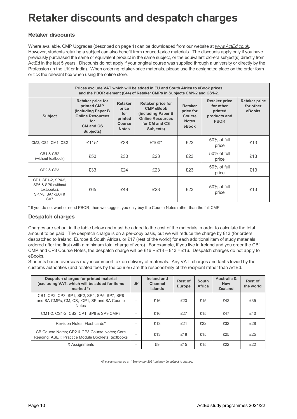# **Retaker discounts and despatch charges**

#### **Retaker discounts**

Where available, CMP Upgrades (described on page 1) can be downloaded from our website at *www.ActEd.co.uk*. However, students retaking a subject can also benefit from reduced-price materials. The discounts apply only if you have previously purchased the same or equivalent product in the same subject, or the equivalent old-era subject(s) directly from ActEd in the last 5 years. Discounts do not apply if your original course was supplied through a university or directly by the Profession (in the UK or India). When ordering retaker-price materials, please use the designated place on the order form or tick the relevant box when using the online store.

| Prices exclude VAT which will be added in EU and South Africa to eBook prices<br>and the PBOR element (£44) of Retaker CMPs in Subjects CM1-2 and CS1-2. |                                                                                                                                  |                                                                     |                                                                                                                      |                                                                |                                                                             |                                             |  |  |  |  |  |  |
|----------------------------------------------------------------------------------------------------------------------------------------------------------|----------------------------------------------------------------------------------------------------------------------------------|---------------------------------------------------------------------|----------------------------------------------------------------------------------------------------------------------|----------------------------------------------------------------|-----------------------------------------------------------------------------|---------------------------------------------|--|--|--|--|--|--|
| <b>Subject</b>                                                                                                                                           | <b>Retaker price for</b><br>printed CMP<br>(including Paper B<br><b>Online Resources</b><br>for<br><b>CM and CS</b><br>Subjects) | <b>Retaker</b><br>price<br>for<br>printed<br>Course<br><b>Notes</b> | Retaker price for<br><b>CMP eBook</b><br>(including Paper B<br><b>Online Resources</b><br>for CM and CS<br>Subjects) | <b>Retaker</b><br>price for<br>Course<br><b>Notes</b><br>eBook | <b>Retaker price</b><br>for other<br>printed<br>products and<br><b>PBOR</b> | <b>Retaker price</b><br>for other<br>eBooks |  |  |  |  |  |  |
| CM2, CS1, CM1, CS2                                                                                                                                       | £115 $*$                                                                                                                         | £38                                                                 | £100*                                                                                                                | £23                                                            | 50% of full<br>price                                                        | £13                                         |  |  |  |  |  |  |
| <b>CB1 &amp; CB2</b><br>(without textbook)                                                                                                               | £50                                                                                                                              | £30                                                                 | £23                                                                                                                  | £23                                                            | 50% of full<br>price                                                        | £13                                         |  |  |  |  |  |  |
| <b>CP2 &amp; CP3</b>                                                                                                                                     | £33                                                                                                                              | £24                                                                 | £23                                                                                                                  | £23                                                            | 50% of full<br>price                                                        | £13                                         |  |  |  |  |  |  |
| CP1, SP1-2, SP4-5,<br>SP6 & SP9 (without<br>textbooks),<br>SP7-8, SA1-SA4 &<br>SA7                                                                       | £65                                                                                                                              | £49                                                                 | £23                                                                                                                  | £23                                                            | 50% of full<br>price                                                        | £13                                         |  |  |  |  |  |  |

\* If you do not want or need PBOR, then we suggest you only buy the Course Notes rather than the full CMP.

#### **Despatch charges**

Charges are set out in the table below and must be added to the cost of the materials in order to calculate the total amount to be paid. The despatch charge is on a per-copy basis, but we will reduce the charge by £13 (for orders despatched to Ireland, Europe & South Africa), or £17 (rest of the world) for each additional item of study materials ordered after the first (with a minimum total charge of zero). For example, if you live in Ireland and you order the CB1 CMP and CP3 Course Notes, the despatch charge will be £16 + £13 - £13 = £16. Despatch charges do not apply to eBooks.

Students based overseas may incur import tax on delivery of materials. Any VAT, charges and tariffs levied by the customs authorities (and related fees by the courier) are the responsibility of the recipient rather than ActEd.

| Despatch charges for printed material<br>(excluding VAT, which will be added for items<br>marked *)       | <b>UK</b> | Ireland and<br><b>Channel</b><br><b>Islands</b> | <b>Rest of</b><br><b>Europe</b> | South<br>Africa | Australia &<br><b>New</b><br><b>Zealand</b> | <b>Rest of</b><br>the world |
|-----------------------------------------------------------------------------------------------------------|-----------|-------------------------------------------------|---------------------------------|-----------------|---------------------------------------------|-----------------------------|
| CB1, CP2, CP3, SP1, SP2, SP4, SP5, SP7, SP8<br>and SA CMPs; CM, CS, CP1, SP and SA Course<br><b>Notes</b> |           | £16                                             | £23                             | £15             | £42                                         | £35                         |
| CM1-2, CS1-2, CB2, CP1, SP6 & SP9 CMPs                                                                    |           | £16                                             | £27                             | £15             | £47                                         | £40                         |
| Revision Notes; Flashcards*                                                                               |           | £13                                             | £21                             | £22             | £32                                         | £28                         |
| CB Course Notes; CP2 & CP3 Course Notes; Core<br>Reading; ASET; Practice Module Booklets; textbooks       |           | £13                                             | £18                             | £15             | £25                                         | £25                         |
| X Assignments                                                                                             |           | £9                                              | £15                             | £15             | f22                                         | f22                         |

*All prices correct as at 1 September 2021 but may be subject to change.*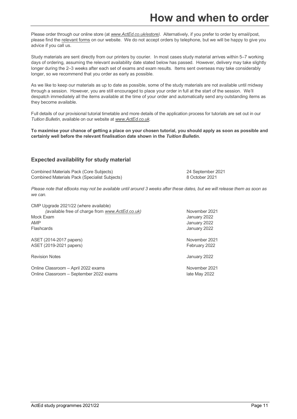### **How and when to order**

Please order through our online store (at *www.ActEd.co.uk/estore)*. Alternatively, if you prefer to order by email/post, please find the relevant forms on our website. We do not accept orders by telephone, but we will be happy to give you advice if you call us.

Study materials are sent directly from our printers by courier. In most cases study material arrives within 5–7 working days of ordering, assuming the relevant availability date stated below has passed. However, delivery may take slightly longer during the 2–3 weeks after each set of exams and exam results. Items sent overseas may take considerably longer, so we recommend that you order as early as possible.

As we like to keep our materials as up to date as possible, some of the study materials are not available until midway through a session. However, you are still encouraged to place your order in full at the start of the session. We'll despatch immediately all the items available at the time of your order and automatically send any outstanding items as they become available.

Full details of our provisional tutorial timetable and more details of the application process for tutorials are set out in our *Tuition Bulletin*, available on our website at *www.ActEd.co.uk*.

**To maximise your chance of getting a place on your chosen tutorial, you should apply as soon as possible and certainly well before the relevant finalisation date shown in the** *Tuition Bulletin***.**

#### **Expected availability for study material**

Combined Materials Pack (Core Subjects) 24 September 2021 Combined Materials Pack (Specialist Subjects) 8 October 2021

*Please note that eBooks may not be available until around 3 weeks after these dates, but we will release them as soon as we can.*

CMP Upgrade 2021/22 (where available) (available free of charge from *www.ActEd.co.uk)* November 2021 Mock Exam January 2022 AMP January 2022 Flashcards January 2022

ASET (2014-2017 papers) November 2021 ASET (2019-2021 papers) **February 2022** 

Revision Notes **Access 2022 CONVERTS 2022** 

Online Classroom – April 2022 exams November 2021 Online Classroom – September 2022 exams late May 2022